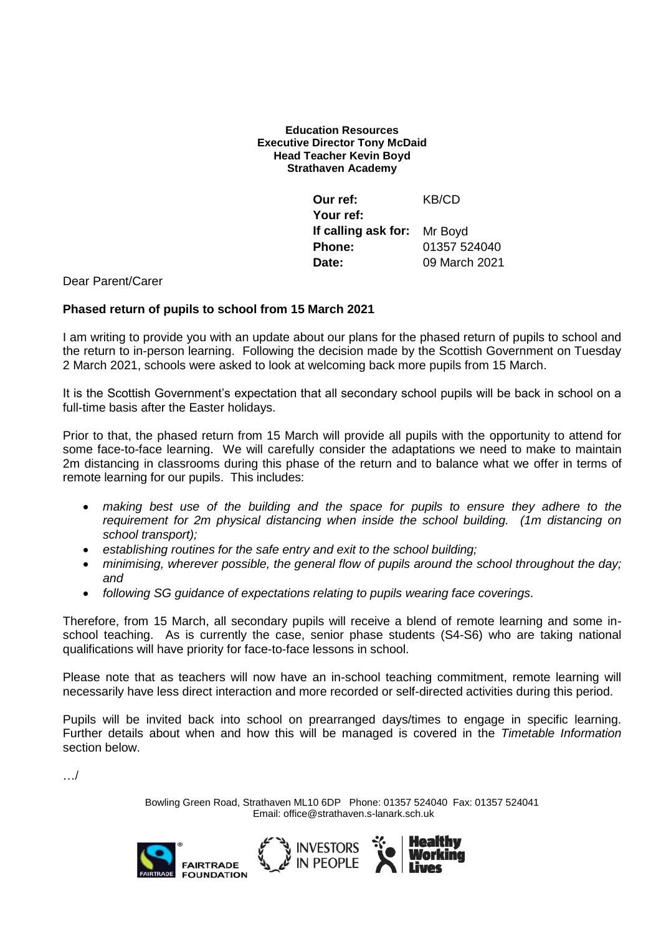### **Education Resources Executive Director Tony McDaid Head Teacher Kevin Boyd Strathaven Academy**

| Our ref:                           | KB/CD         |
|------------------------------------|---------------|
| Your ref:                          |               |
| <b>If calling ask for:</b> Mr Boyd |               |
| <b>Phone:</b>                      | 01357 524040  |
| Date:                              | 09 March 2021 |

## Dear Parent/Carer

## **Phased return of pupils to school from 15 March 2021**

I am writing to provide you with an update about our plans for the phased return of pupils to school and the return to in-person learning. Following the decision made by the Scottish Government on Tuesday 2 March 2021, schools were asked to look at welcoming back more pupils from 15 March.

It is the Scottish Government's expectation that all secondary school pupils will be back in school on a full-time basis after the Easter holidays.

Prior to that, the phased return from 15 March will provide all pupils with the opportunity to attend for some face-to-face learning. We will carefully consider the adaptations we need to make to maintain 2m distancing in classrooms during this phase of the return and to balance what we offer in terms of remote learning for our pupils. This includes:

- *making best use of the building and the space for pupils to ensure they adhere to the requirement for 2m physical distancing when inside the school building. (1m distancing on school transport);*
- *establishing routines for the safe entry and exit to the school building;*
- *minimising, wherever possible, the general flow of pupils around the school throughout the day; and*
- *following SG guidance of expectations relating to pupils wearing face coverings.*

Therefore, from 15 March, all secondary pupils will receive a blend of remote learning and some inschool teaching. As is currently the case, senior phase students (S4-S6) who are taking national qualifications will have priority for face-to-face lessons in school.

Please note that as teachers will now have an in-school teaching commitment, remote learning will necessarily have less direct interaction and more recorded or self-directed activities during this period.

Pupils will be invited back into school on prearranged days/times to engage in specific learning. Further details about when and how this will be managed is covered in the *Timetable Information* section below.

…/

Bowling Green Road, Strathaven ML10 6DP Phone: 01357 524040 Fax: 01357 524041 Email: office@strathaven.s-lanark.sch.uk

> **Healthy** Workina



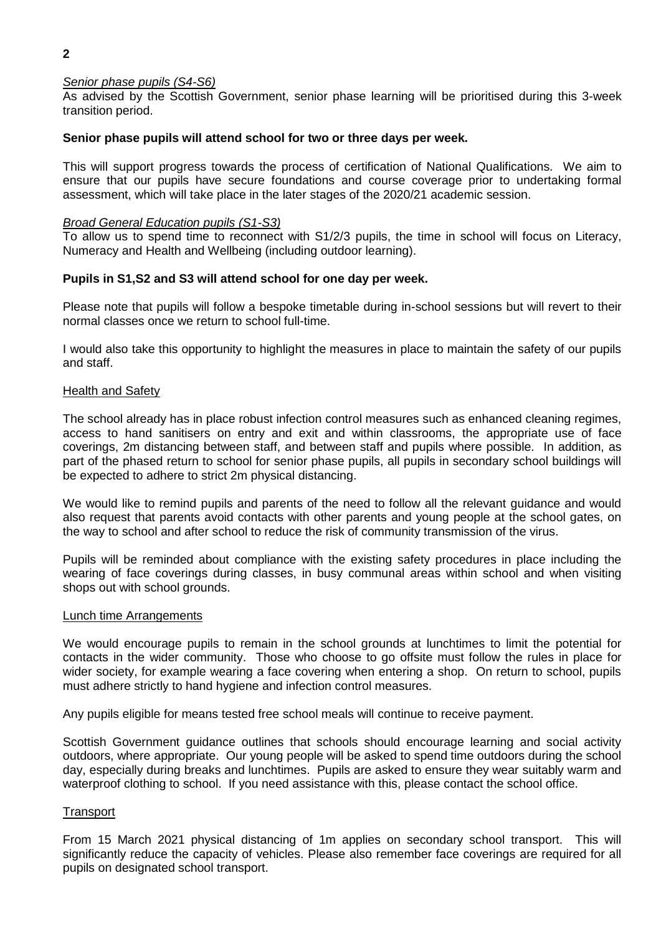# *Senior phase pupils (S4-S6)*

As advised by the Scottish Government, senior phase learning will be prioritised during this 3-week transition period.

#### **Senior phase pupils will attend school for two or three days per week.**

This will support progress towards the process of certification of National Qualifications. We aim to ensure that our pupils have secure foundations and course coverage prior to undertaking formal assessment, which will take place in the later stages of the 2020/21 academic session.

#### *Broad General Education pupils (S1-S3)*

To allow us to spend time to reconnect with S1/2/3 pupils, the time in school will focus on Literacy, Numeracy and Health and Wellbeing (including outdoor learning).

## **Pupils in S1,S2 and S3 will attend school for one day per week.**

Please note that pupils will follow a bespoke timetable during in-school sessions but will revert to their normal classes once we return to school full-time.

I would also take this opportunity to highlight the measures in place to maintain the safety of our pupils and staff.

#### Health and Safety

The school already has in place robust infection control measures such as enhanced cleaning regimes, access to hand sanitisers on entry and exit and within classrooms, the appropriate use of face coverings, 2m distancing between staff, and between staff and pupils where possible. In addition, as part of the phased return to school for senior phase pupils, all pupils in secondary school buildings will be expected to adhere to strict 2m physical distancing.

We would like to remind pupils and parents of the need to follow all the relevant guidance and would also request that parents avoid contacts with other parents and young people at the school gates, on the way to school and after school to reduce the risk of community transmission of the virus.

Pupils will be reminded about compliance with the existing safety procedures in place including the wearing of face coverings during classes, in busy communal areas within school and when visiting shops out with school grounds.

#### Lunch time Arrangements

We would encourage pupils to remain in the school grounds at lunchtimes to limit the potential for contacts in the wider community. Those who choose to go offsite must follow the rules in place for wider society, for example wearing a face covering when entering a shop. On return to school, pupils must adhere strictly to hand hygiene and infection control measures.

Any pupils eligible for means tested free school meals will continue to receive payment.

Scottish Government guidance outlines that schools should encourage learning and social activity outdoors, where appropriate. Our young people will be asked to spend time outdoors during the school day, especially during breaks and lunchtimes. Pupils are asked to ensure they wear suitably warm and waterproof clothing to school. If you need assistance with this, please contact the school office.

#### **Transport**

From 15 March 2021 physical distancing of 1m applies on secondary school transport. This will significantly reduce the capacity of vehicles. Please also remember face coverings are required for all pupils on designated school transport.